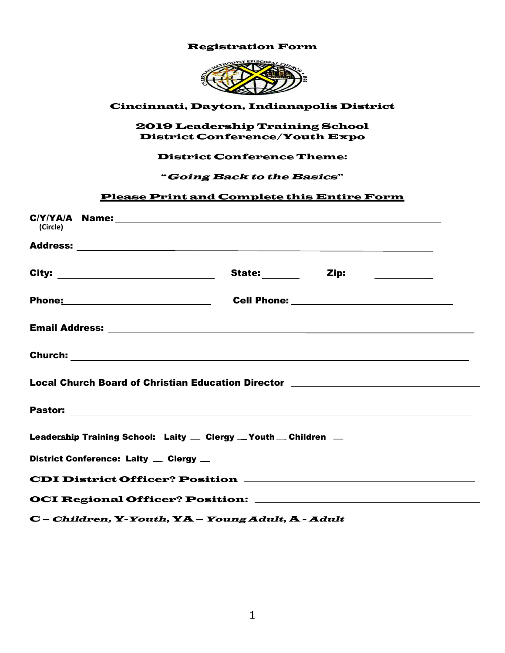# Registration Form



#### Cincinnati, Dayton, Indianapolis District

#### 2019 Leadership Training School District Conference/Youth Expo

### District Conference Theme:

#### "Going Back to the Basics"

### Please Print and Complete this Entire Form

| (Circle)                                                                         |  |  |  |  |  |
|----------------------------------------------------------------------------------|--|--|--|--|--|
|                                                                                  |  |  |  |  |  |
|                                                                                  |  |  |  |  |  |
|                                                                                  |  |  |  |  |  |
|                                                                                  |  |  |  |  |  |
|                                                                                  |  |  |  |  |  |
| Local Church Board of Christian Education Director _____________________________ |  |  |  |  |  |
|                                                                                  |  |  |  |  |  |
| Leadership Training School: Laity - Clergy - Youth - Children -                  |  |  |  |  |  |
| District Conference: Laity _ Clergy _                                            |  |  |  |  |  |
|                                                                                  |  |  |  |  |  |
|                                                                                  |  |  |  |  |  |

C – Children, Y-Youth, YA – Young Adult, A - Adult